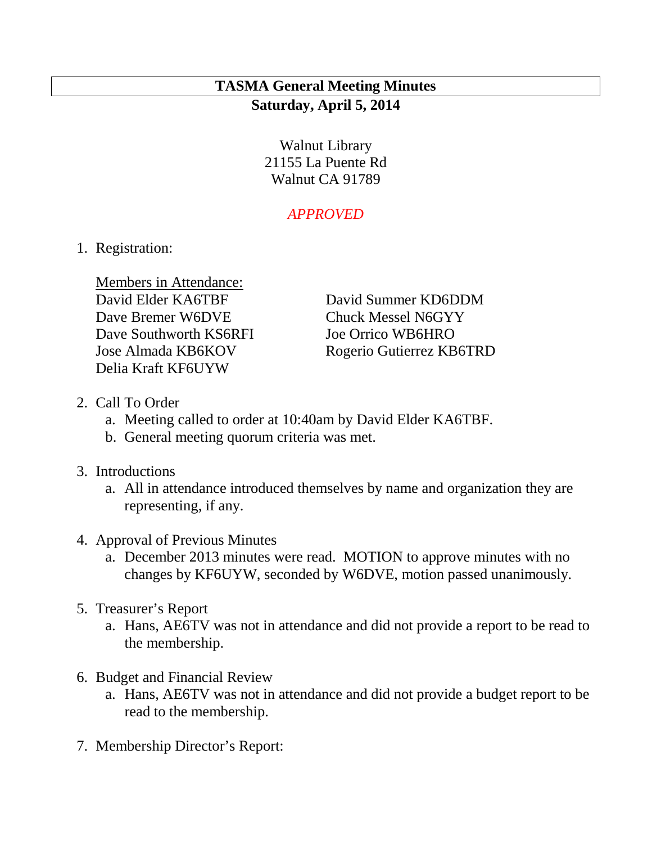# **TASMA General Meeting Minutes Saturday, April 5, 2014**

Walnut Library 21155 La Puente Rd Walnut CA 91789

## *APPROVED*

1. Registration:

Members in Attendance: Dave Bremer W6DVE Chuck Messel N6GYY Dave Southworth KS6RFI Joe Orrico WB6HRO Delia Kraft KF6UYW

David Elder KA6TBF David Summer KD6DDM Jose Almada KB6KOV Rogerio Gutierrez KB6TRD

- 2. Call To Order
	- a. Meeting called to order at 10:40am by David Elder KA6TBF.
	- b. General meeting quorum criteria was met.
- 3. Introductions
	- a. All in attendance introduced themselves by name and organization they are representing, if any.
- 4. Approval of Previous Minutes
	- a. December 2013 minutes were read. MOTION to approve minutes with no changes by KF6UYW, seconded by W6DVE, motion passed unanimously.
- 5. Treasurer's Report
	- a. Hans, AE6TV was not in attendance and did not provide a report to be read to the membership.
- 6. Budget and Financial Review
	- a. Hans, AE6TV was not in attendance and did not provide a budget report to be read to the membership.
- 7. Membership Director's Report: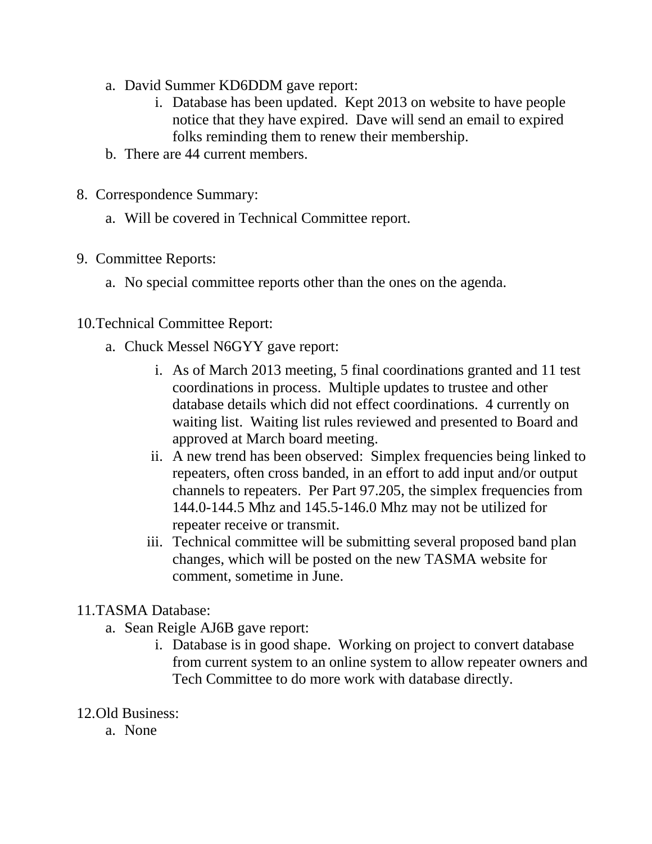- a. David Summer KD6DDM gave report:
	- i. Database has been updated. Kept 2013 on website to have people notice that they have expired. Dave will send an email to expired folks reminding them to renew their membership.
- b. There are 44 current members.
- 8. Correspondence Summary:
	- a. Will be covered in Technical Committee report.
- 9. Committee Reports:
	- a. No special committee reports other than the ones on the agenda.
- 10.Technical Committee Report:
	- a. Chuck Messel N6GYY gave report:
		- i. As of March 2013 meeting, 5 final coordinations granted and 11 test coordinations in process. Multiple updates to trustee and other database details which did not effect coordinations. 4 currently on waiting list. Waiting list rules reviewed and presented to Board and approved at March board meeting.
		- ii. A new trend has been observed: Simplex frequencies being linked to repeaters, often cross banded, in an effort to add input and/or output channels to repeaters. Per Part 97.205, the simplex frequencies from 144.0-144.5 Mhz and 145.5-146.0 Mhz may not be utilized for repeater receive or transmit.
		- iii. Technical committee will be submitting several proposed band plan changes, which will be posted on the new TASMA website for comment, sometime in June.

### 11.TASMA Database:

- a. Sean Reigle AJ6B gave report:
	- i. Database is in good shape. Working on project to convert database from current system to an online system to allow repeater owners and Tech Committee to do more work with database directly.
- 12.Old Business:
	- a. None